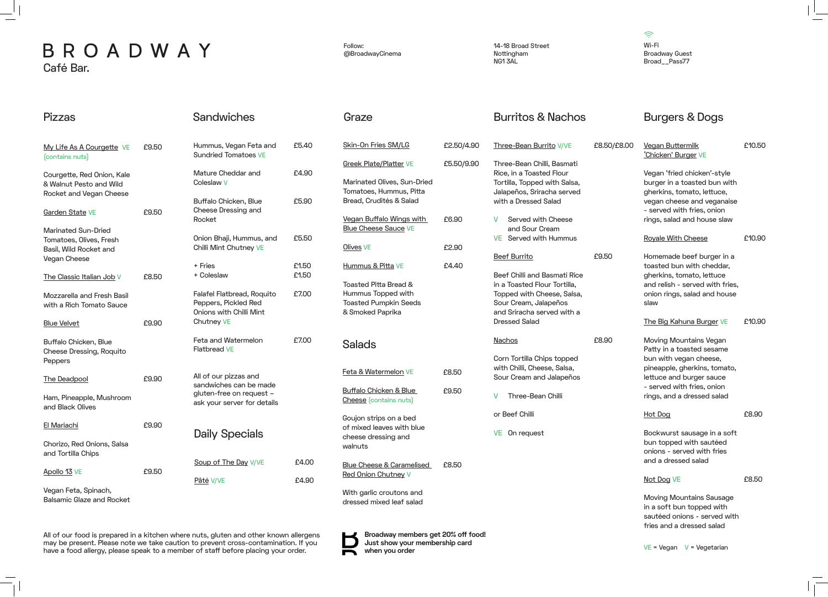14-18 Broad Street Nottingham NG1 3AL

All of our food is prepared in a kitchen where nuts, gluten and other known allergens may be present. Please note we take caution to prevent cross-contamination. If you have a food allergy, please speak to a member of staff before placing your order.

## BROADWAY Café Bar.

 $\widehat{\mathcal{D}}$ Wi-Fi Broadway Guest Broad\_\_Pass77

 $VE = Vegan$   $V = Vegetarian$ 

| <b>Pizzas</b>                                                                    |       | <b>Sandwiches</b>                                                                     |                | Graze                                                                                           |                          | <b>Burritos &amp; Nachos</b>                                                                                      |             | <b>Burgers &amp; Dogs</b>                                                                                                 |        |
|----------------------------------------------------------------------------------|-------|---------------------------------------------------------------------------------------|----------------|-------------------------------------------------------------------------------------------------|--------------------------|-------------------------------------------------------------------------------------------------------------------|-------------|---------------------------------------------------------------------------------------------------------------------------|--------|
| My Life As A Courgette VE<br>(contains nuts)                                     | £9.50 | Hummus, Vegan Feta and<br><b>Sundried Tomatoes VE</b>                                 | £5.40          | <b>Skin-On Fries SM/LG</b><br><b>Greek Plate/Platter VE</b>                                     | £2.50/4.90<br>£5.50/9.90 | Three-Bean Burrito V/VE<br>Three-Bean Chilli, Basmati                                                             | £8.50/£8.00 | <b>Vegan Buttermilk</b><br>'Chicken' Burger VE                                                                            | £10.50 |
| Courgette, Red Onion, Kale<br>& Walnut Pesto and Wild<br>Rocket and Vegan Cheese |       | Mature Cheddar and<br>Coleslaw V<br>Buffalo Chicken, Blue                             | £4.90<br>£5.90 | Marinated Olives, Sun-Dried<br>Tomatoes, Hummus, Pitta<br>Bread, Crudités & Salad               |                          | Rice, in a Toasted Flour<br>Tortilla, Topped with Salsa,<br>Jalapeños, Sriracha served<br>with a Dressed Salad    |             | Vegan 'fried chicken'-style<br>burger in a toasted bun with<br>gherkins, tomato, lettuce,<br>vegan cheese and veganaise   |        |
| Garden State VE                                                                  | £9.50 | Cheese Dressing and<br>Rocket                                                         |                | Vegan Buffalo Wings with                                                                        | £6.90                    | Served with Cheese                                                                                                |             | - served with fries, onion<br>rings, salad and house slaw                                                                 |        |
| <b>Marinated Sun-Dried</b><br>Tomatoes, Olives, Fresh<br>Basil, Wild Rocket and  |       | Onion Bhaji, Hummus, and<br>Chilli Mint Chutney VE                                    | £5.50          | <b>Blue Cheese Sauce VE</b><br>Olives VE                                                        | £2.90                    | and Sour Cream<br><b>VE</b> Served with Hummus                                                                    |             | <b>Royale With Cheese</b>                                                                                                 | £10.90 |
| Vegan Cheese<br>The Classic Italian Job V                                        | £8.50 | + Fries<br>+ Coleslaw                                                                 | £1.50<br>£1.50 | Hummus & Pitta VE                                                                               | £4.40                    | <b>Beef Burrito</b><br>Beef Chilli and Basmati Rice                                                               | £9.50       | Homemade beef burger in a<br>toasted bun with cheddar,<br>gherkins, tomato, lettuce                                       |        |
| Mozzarella and Fresh Basil<br>with a Rich Tomato Sauce                           |       | Falafel Flatbread, Roquito<br>Peppers, Pickled Red<br><b>Onions with Chilli Mint</b>  | £7.00          | Toasted Pitta Bread &<br>Hummus Topped with<br><b>Toasted Pumpkin Seeds</b><br>& Smoked Paprika |                          | in a Toasted Flour Tortilla,<br>Topped with Cheese, Salsa,<br>Sour Cream, Jalapeños<br>and Sriracha served with a |             | and relish - served with fries,<br>onion rings, salad and house<br>slaw                                                   |        |
| <b>Blue Velvet</b>                                                               | £9.90 | <b>Chutney VE</b>                                                                     |                |                                                                                                 |                          | <b>Dressed Salad</b>                                                                                              |             | The Big Kahuna Burger VE                                                                                                  | £10.90 |
| Buffalo Chicken, Blue<br><b>Cheese Dressing, Roquito</b><br>Peppers              |       | Feta and Watermelon<br><b>Flatbread VE</b>                                            | £7.00          | <b>Salads</b>                                                                                   |                          | <b>Nachos</b><br>Corn Tortilla Chips topped                                                                       | £8.90       | Moving Mountains Vegan<br>Patty in a toasted sesame<br>bun with vegan cheese,                                             |        |
| The Deadpool                                                                     | £9.90 | All of our pizzas and<br>sandwiches can be made                                       |                | Feta & Watermelon VE                                                                            | £8.50                    | with Chilli, Cheese, Salsa,<br>Sour Cream and Jalapeños                                                           |             | pineapple, gherkins, tomato,<br>lettuce and burger sauce                                                                  |        |
| Ham, Pineapple, Mushroom<br>and Black Olives                                     |       | gluten-free on request -<br>ask your server for details                               |                | <b>Buffalo Chicken &amp; Blue</b><br><b>Cheese</b> (contains nuts)                              | £9.50                    | V<br><b>Three-Bean Chilli</b>                                                                                     |             | - served with fries, onion<br>rings, and a dressed salad                                                                  |        |
| El Mariachi                                                                      | £9.90 |                                                                                       |                | Goujon strips on a bed<br>of mixed leaves with blue                                             |                          | or Beef Chilli                                                                                                    |             | <b>Hot Dog</b>                                                                                                            | £8.90  |
| Chorizo, Red Onions, Salsa<br>and Tortilla Chips                                 |       | <b>Daily Specials</b>                                                                 |                | cheese dressing and<br>walnuts                                                                  |                          | VE On request                                                                                                     |             | Bockwurst sausage in a soft<br>bun topped with sautéed<br>onions - served with fries                                      |        |
| Apollo 13 VE                                                                     | £9.50 | Soup of The Day V/VE                                                                  | £4.00          | <b>Blue Cheese &amp; Caramelised</b><br>Red Onion Chutney V                                     | £8.50                    |                                                                                                                   |             | and a dressed salad<br>Not Dog VE                                                                                         | £8.50  |
| Vegan Feta, Spinach,<br><b>Balsamic Glaze and Rocket</b>                         |       | Pâté V/VE                                                                             | £4.90          | With garlic croutons and<br>dressed mixed leaf salad                                            |                          |                                                                                                                   |             | <b>Moving Mountains Sausage</b><br>in a soft bun topped with<br>sautéed onions - served with<br>fries and a dressed salad |        |
|                                                                                  |       | All of our food is prepared in a kitchen where nuts, gluten and other known allergens |                | Broadway members get 20% off food!<br>ш                                                         |                          |                                                                                                                   |             |                                                                                                                           |        |

Follow: @BroadwayCinema

**Just show your membership card** 

**when you order**

 $\mathbf{R}$